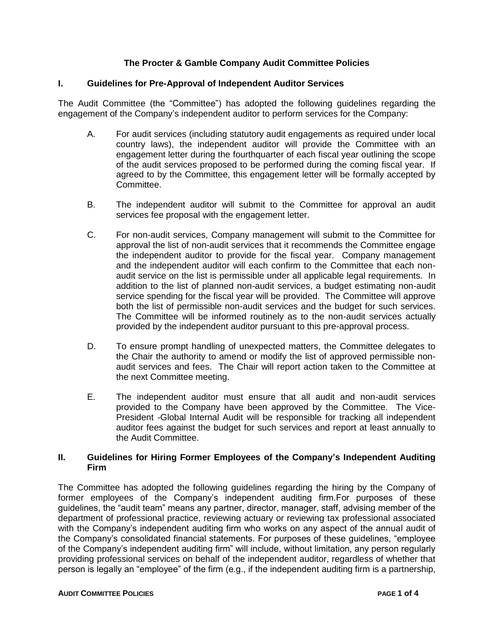# **The Procter & Gamble Company Audit Committee Policies**

#### **I. Guidelines for Pre-Approval of Independent Auditor Services**

The Audit Committee (the "Committee") has adopted the following guidelines regarding the engagement of the Company's independent auditor to perform services for the Company:

- A. For audit services (including statutory audit engagements as required under local country laws), the independent auditor will provide the Committee with an engagement letter during the fourthquarter of each fiscal year outlining the scope of the audit services proposed to be performed during the coming fiscal year. If agreed to by the Committee, this engagement letter will be formally accepted by Committee.
- B. The independent auditor will submit to the Committee for approval an audit services fee proposal with the engagement letter.
- C. For non-audit services, Company management will submit to the Committee for approval the list of non-audit services that it recommends the Committee engage the independent auditor to provide for the fiscal year. Company management and the independent auditor will each confirm to the Committee that each nonaudit service on the list is permissible under all applicable legal requirements. In addition to the list of planned non-audit services, a budget estimating non-audit service spending for the fiscal year will be provided. The Committee will approve both the list of permissible non-audit services and the budget for such services. The Committee will be informed routinely as to the non-audit services actually provided by the independent auditor pursuant to this pre-approval process.
- D. To ensure prompt handling of unexpected matters, the Committee delegates to the Chair the authority to amend or modify the list of approved permissible nonaudit services and fees. The Chair will report action taken to the Committee at the next Committee meeting.
- E. The independent auditor must ensure that all audit and non-audit services provided to the Company have been approved by the Committee. The Vice-President -Global Internal Audit will be responsible for tracking all independent auditor fees against the budget for such services and report at least annually to the Audit Committee.

### **II. Guidelines for Hiring Former Employees of the Company's Independent Auditing Firm**

The Committee has adopted the following guidelines regarding the hiring by the Company of former employees of the Company's independent auditing firm.For purposes of these guidelines, the "audit team" means any partner, director, manager, staff, advising member of the department of professional practice, reviewing actuary or reviewing tax professional associated with the Company's independent auditing firm who works on any aspect of the annual audit of the Company's consolidated financial statements. For purposes of these guidelines, "employee of the Company's independent auditing firm" will include, without limitation, any person regularly providing professional services on behalf of the independent auditor, regardless of whether that person is legally an "employee" of the firm (e.g., if the independent auditing firm is a partnership,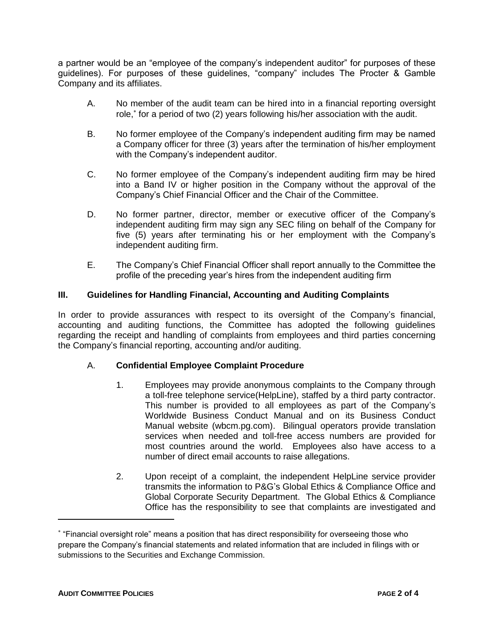a partner would be an "employee of the company's independent auditor" for purposes of these guidelines). For purposes of these guidelines, "company" includes The Procter & Gamble Company and its affiliates.

- A. No member of the audit team can be hired into in a financial reporting oversight role, for a period of two (2) years following his/her association with the audit.
- B. No former employee of the Company's independent auditing firm may be named a Company officer for three (3) years after the termination of his/her employment with the Company's independent auditor.
- C. No former employee of the Company's independent auditing firm may be hired into a Band IV or higher position in the Company without the approval of the Company's Chief Financial Officer and the Chair of the Committee.
- D. No former partner, director, member or executive officer of the Company's independent auditing firm may sign any SEC filing on behalf of the Company for five (5) years after terminating his or her employment with the Company's independent auditing firm.
- E. The Company's Chief Financial Officer shall report annually to the Committee the profile of the preceding year's hires from the independent auditing firm

## **III. Guidelines for Handling Financial, Accounting and Auditing Complaints**

In order to provide assurances with respect to its oversight of the Company's financial, accounting and auditing functions, the Committee has adopted the following guidelines regarding the receipt and handling of complaints from employees and third parties concerning the Company's financial reporting, accounting and/or auditing.

### A. **Confidential Employee Complaint Procedure**

- 1. Employees may provide anonymous complaints to the Company through a toll-free telephone service(HelpLine), staffed by a third party contractor. This number is provided to all employees as part of the Company's Worldwide Business Conduct Manual and on its Business Conduct Manual website (wbcm.pg.com). Bilingual operators provide translation services when needed and toll-free access numbers are provided for most countries around the world. Employees also have access to a number of direct email accounts to raise allegations.
- 2. Upon receipt of a complaint, the independent HelpLine service provider transmits the information to P&G's Global Ethics & Compliance Office and Global Corporate Security Department. The Global Ethics & Compliance Office has the responsibility to see that complaints are investigated and

 $\overline{a}$ 

"Financial oversight role" means a position that has direct responsibility for overseeing those who prepare the Company's financial statements and related information that are included in filings with or submissions to the Securities and Exchange Commission.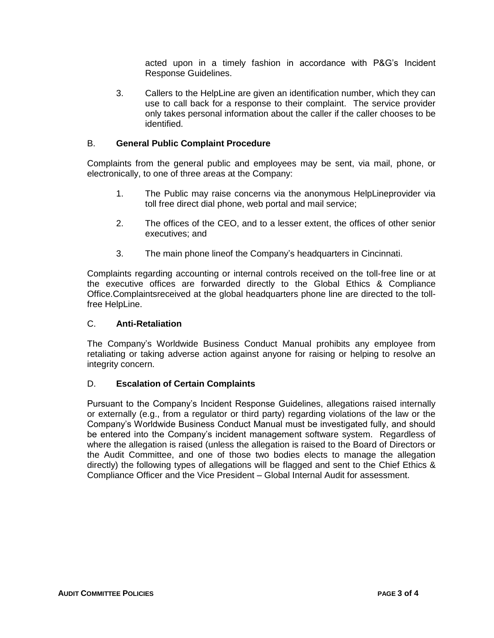acted upon in a timely fashion in accordance with P&G's Incident Response Guidelines.

3. Callers to the HelpLine are given an identification number, which they can use to call back for a response to their complaint. The service provider only takes personal information about the caller if the caller chooses to be identified.

## B. **General Public Complaint Procedure**

Complaints from the general public and employees may be sent, via mail, phone, or electronically, to one of three areas at the Company:

- 1. The Public may raise concerns via the anonymous HelpLineprovider via toll free direct dial phone, web portal and mail service;
- 2. The offices of the CEO, and to a lesser extent, the offices of other senior executives; and
- 3. The main phone lineof the Company's headquarters in Cincinnati.

Complaints regarding accounting or internal controls received on the toll-free line or at the executive offices are forwarded directly to the Global Ethics & Compliance Office.Complaintsreceived at the global headquarters phone line are directed to the tollfree HelpLine.

### C. **Anti-Retaliation**

The Company's Worldwide Business Conduct Manual prohibits any employee from retaliating or taking adverse action against anyone for raising or helping to resolve an integrity concern.

### D. **Escalation of Certain Complaints**

Pursuant to the Company's Incident Response Guidelines, allegations raised internally or externally (e.g., from a regulator or third party) regarding violations of the law or the Company's Worldwide Business Conduct Manual must be investigated fully, and should be entered into the Company's incident management software system. Regardless of where the allegation is raised (unless the allegation is raised to the Board of Directors or the Audit Committee, and one of those two bodies elects to manage the allegation directly) the following types of allegations will be flagged and sent to the Chief Ethics & Compliance Officer and the Vice President – Global Internal Audit for assessment.